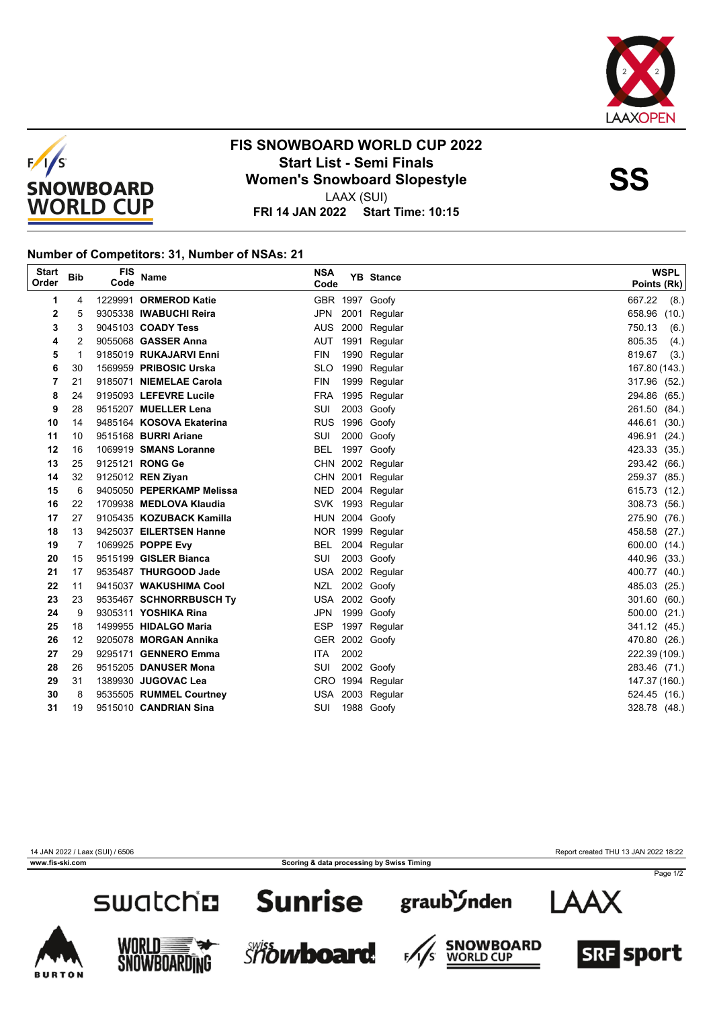



#### **FIS SNOWBOARD WORLD CUP 2022 Start List - Semi Finals<br>
Women's Snowboard Slopestyle<br>
Momen's Snowboard Slopestyle** LAAX (SUI)

**FRI 14 JAN 2022 Start Time: 10:15**

#### **Number of Competitors: 31, Number of NSAs: 21**

| <b>Start</b><br>Order | <b>Bib</b> | <b>FIS</b><br>Code | <b>Name</b>                 | <b>NSA</b><br>Code |      | <b>YB</b> Stance | <b>WSPL</b><br>Points (Rk) |
|-----------------------|------------|--------------------|-----------------------------|--------------------|------|------------------|----------------------------|
| 1                     | 4          |                    | 1229991 ORMEROD Katie       |                    |      | GBR 1997 Goofy   | 667.22<br>(8.)             |
| 2                     | 5          |                    | 9305338 IWABUCHI Reira      | JPN                |      | 2001 Regular     | 658.96<br>(10.)            |
| 3                     | 3          |                    | 9045103 COADY Tess          | AUS                |      | 2000 Regular     | 750.13<br>(6.)             |
| 4                     | 2          |                    | 9055068 <b>GASSER Anna</b>  | AUT                |      | 1991 Regular     | 805.35<br>(4.)             |
| 5                     | 1          |                    | 9185019 RUKAJARVI Enni      | <b>FIN</b>         |      | 1990 Regular     | 819.67<br>(3.)             |
| 6                     | 30         |                    | 1569959 PRIBOSIC Urska      | <b>SLO</b>         |      | 1990 Regular     | 167.80 (143.)              |
| 7                     | 21         |                    | 9185071 NIEMELAE Carola     | <b>FIN</b>         |      | 1999 Regular     | 317.96 (52.)               |
| 8                     | 24         |                    | 9195093 LEFEVRE Lucile      |                    |      | FRA 1995 Regular | 294.86 (65.)               |
| 9                     | 28         |                    | 9515207 MUELLER Lena        | SUI                |      | 2003 Goofy       | 261.50 (84.)               |
| 10                    | 14         |                    | 9485164 KOSOVA Ekaterina    |                    |      | RUS 1996 Goofy   | 446.61 (30.)               |
| 11                    | 10         |                    | 9515168 <b>BURRI Ariane</b> | SUI                |      | 2000 Goofy       | 496.91 (24.)               |
| 12                    | 16         |                    | 1069919 SMANS Loranne       | BEL                |      | 1997 Goofy       | 423.33 (35.)               |
| 13                    | 25         |                    | 9125121 RONG Ge             |                    |      | CHN 2002 Regular | 293.42 (66.)               |
| 14                    | 32         |                    | 9125012 REN Ziyan           |                    |      | CHN 2001 Regular | 259.37 (85.)               |
| 15                    | 6          |                    | 9405050 PEPERKAMP Melissa   |                    |      | NED 2004 Regular | 615.73 (12.)               |
| 16                    | 22         |                    | 1709938 MEDLOVA Klaudia     |                    |      | SVK 1993 Regular | 308.73 (56.)               |
| 17                    | 27         |                    | 9105435 KOZUBACK Kamilla    |                    |      | HUN 2004 Goofy   | 275.90 (76.)               |
| 18                    | 13         |                    | 9425037 EILERTSEN Hanne     |                    |      | NOR 1999 Regular | 458.58 (27.)               |
| 19                    | 7          |                    | 1069925 POPPE Evy           | BEL                |      | 2004 Regular     | 600.00 (14.)               |
| 20                    | 15         |                    | 9515199 GISLER Bianca       | SUI                |      | 2003 Goofy       | 440.96 (33.)               |
| 21                    | 17         |                    | 9535487 THURGOOD Jade       |                    |      | USA 2002 Regular | 400.77 (40.)               |
| 22                    | 11         |                    | 9415037 WAKUSHIMA Cool      | NZL                |      | 2002 Goofy       | 485.03 (25.)               |
| 23                    | 23         |                    | 9535467 SCHNORRBUSCH Ty     |                    |      | USA 2002 Goofy   | 301.60 (60.)               |
| 24                    | 9          |                    | 9305311 YOSHIKA Rina        | <b>JPN</b>         |      | 1999 Goofy       | 500.00 (21.)               |
| 25                    | 18         |                    | 1499955 HIDALGO Maria       |                    |      | ESP 1997 Regular | 341.12 (45.)               |
| 26                    | 12         |                    | 9205078 MORGAN Annika       |                    |      | GER 2002 Goofy   | 470.80 (26.)               |
| 27                    | 29         |                    | 9295171 GENNERO Emma        | <b>ITA</b>         | 2002 |                  | 222.39 (109.)              |
| 28                    | 26         |                    | 9515205 DANUSER Mona        | SUI                |      | 2002 Goofy       | 283.46 (71.)               |
| 29                    | 31         |                    | 1389930 JUGOVAC Lea         |                    |      | CRO 1994 Regular | 147.37 (160.)              |
| 30                    | 8          |                    | 9535505 RUMMEL Courtney     |                    |      | USA 2003 Regular | 524.45 (16.)               |
| 31                    | 19         |                    | 9515010 CANDRIAN Sina       | SUI                |      | 1988 Goofy       | 328.78 (48.)               |

14 JAN 2022 / Laax (SUI) / 6506 Report created THU 13 JAN 2022 18:22

**www.fis-ski.com Scoring & data processing by Swiss Timing**



### **Sunrise**



F,













Page 1/2